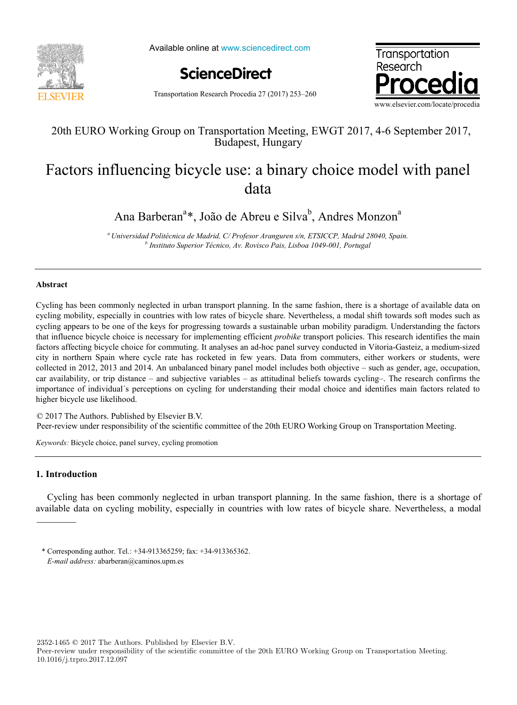

Available online at www.sciencedirect.com

**ScienceDirect**



Transportation Research Procedia 27 (2017) 253–260

## 20th EURO Working Group on Transportation Meeting, EWGT 2017, 4-6 September 2017, 20th EURO Working Group on Transportation Meeting, EWGT 2017, 4-6 September 2017, Budapest, Hungary Budapest, Hungary

# Factors influencing bicycle use: a binary choice model with panel Factors influencing bicycle use: a binary choice model with panel data data

Ana Barberan<sup>a</sup>\*, João de Abreu e Silva<sup>b</sup>, Andres Monzon<sup>a</sup>

*<sup>a</sup> Universidad Politécnica de Madrid, C/ Profesor Aranguren s/n, ETSICCP, Madrid 28040, Spain. <sup>a</sup> Universidad Politécnica de Madrid, C/ Profesor Aranguren s/n, ETSICCP, Madrid 28040, Spain. <sup>b</sup> Instituto Superior Técnico, Av. Rovisco Pais, Lisboa 1049-001, Portugal <sup>b</sup> Instituto Superior Técnico, Av. Rovisco Pais, Lisboa 1049-001, Portugal*

## **Abstract Abstract**

Cycling has been commonly neglected in urban transport planning. In the same fashion, there is a shortage of available data on cycling mobility, especially in countries with low rates of bicycle share. Nevertheless, a modal shift towards soft modes such as cycling appears to be one of the keys for progressing towards a sustainable urban mobility paradigm. Understanding the factors that influence bicycle choice is necessary for implementing efficient *probike* transport policies. This research identifies the main factors affecting bicycle choice for commuting. It analyses an ad-hoc panel survey conducted in Vitoria-Gasteiz, a medium-sized city in northern Spain where cycle rate has rocketed in few years. Data from commuters, either workers or students, were collected in 2012, 2013 and 2014. An unbalanced binary panel model includes both objective - such as gender, age, occupation, car availability, or trip distance – and subjective variables – as attitudinal beliefs towards cycling–. The research confirms the importance of individual's perceptions on cycling for understanding their modal choice and identifies main factors related to higher bicycle use likelihood. higher bicycle use likelihood.

© 2017 The Authors. Published by Elsevier B.V. © 2017 The Authors. Published by Elsevier B.V. © 2017 The Authors. Published by Elsevier B.V. C 2017 The Additions. Fubrished by Eisevier B.V.<br>Peer-review under responsibility of the scientific committee of the 20th EURO Working Group on Transportation Meeting.

*Keywords:* Bicycle choice, panel survey, cycling promotion *Keywords:* Bicycle choice, panel survey, cycling promotion

## **1. Introduction 1. Introduction**

Cycling has been commonly neglected in urban transport planning. In the same fashion, there is a shortage of Cycling has been commonly neglected in urban transport planning. In the same fashion, there is a shortage of available data on cycling mobility, especially in countries with low rates of bicycle share. Nevertheless, a modal

2352-1465 © 2017 The Authors. Published by Elsevier B.V.

Peer-review under responsibility of the scientific committee of the 20th EURO Working Group on Transportation Meeting. 10.1016/j.trpro.2017.12.097

<sup>\*</sup> Corresponding author. Tel.: +34-913365259; fax: +34-913365362. \* Corresponding author. Tel.: +34-913365259; fax: +34-913365362. *E-mail address:* abarberan@caminos.upm.es *E-mail address:* abarberan@caminos.upm.es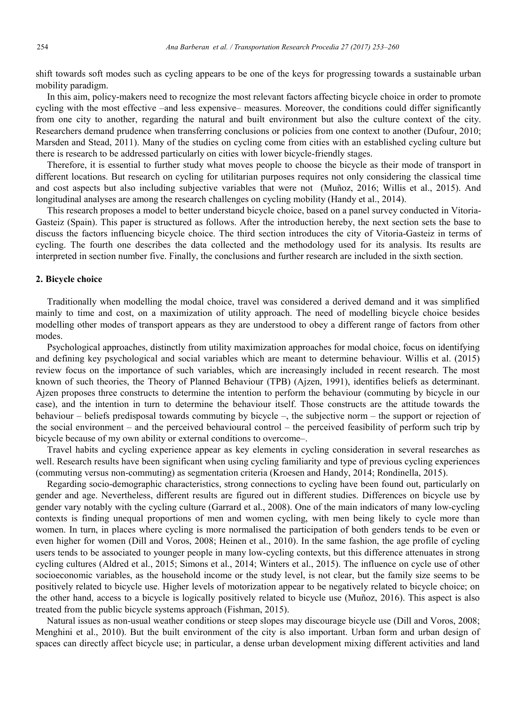shift towards soft modes such as cycling appears to be one of the keys for progressing towards a sustainable urban mobility paradigm.

In this aim, policy-makers need to recognize the most relevant factors affecting bicycle choice in order to promote cycling with the most effective –and less expensive– measures. Moreover, the conditions could differ significantly from one city to another, regarding the natural and built environment but also the culture context of the city. Researchers demand prudence when transferring conclusions or policies from one context to another (Dufour, 2010; Marsden and Stead, 2011). Many of the studies on cycling come from cities with an established cycling culture but there is research to be addressed particularly on cities with lower bicycle-friendly stages.

Therefore, it is essential to further study what moves people to choose the bicycle as their mode of transport in different locations. But research on cycling for utilitarian purposes requires not only considering the classical time and cost aspects but also including subjective variables that were not (Muñoz, 2016; Willis et al., 2015). And longitudinal analyses are among the research challenges on cycling mobility (Handy et al., 2014).

This research proposes a model to better understand bicycle choice, based on a panel survey conducted in Vitoria-Gasteiz (Spain). This paper is structured as follows. After the introduction hereby, the next section sets the base to discuss the factors influencing bicycle choice. The third section introduces the city of Vitoria-Gasteiz in terms of cycling. The fourth one describes the data collected and the methodology used for its analysis. Its results are interpreted in section number five. Finally, the conclusions and further research are included in the sixth section.

#### **2. Bicycle choice**

Traditionally when modelling the modal choice, travel was considered a derived demand and it was simplified mainly to time and cost, on a maximization of utility approach. The need of modelling bicycle choice besides modelling other modes of transport appears as they are understood to obey a different range of factors from other modes.

Psychological approaches, distinctly from utility maximization approaches for modal choice, focus on identifying and defining key psychological and social variables which are meant to determine behaviour. Willis et al. (2015) review focus on the importance of such variables, which are increasingly included in recent research. The most known of such theories, the Theory of Planned Behaviour (TPB) (Ajzen, 1991), identifies beliefs as determinant. Ajzen proposes three constructs to determine the intention to perform the behaviour (commuting by bicycle in our case), and the intention in turn to determine the behaviour itself. Those constructs are the attitude towards the behaviour – beliefs predisposal towards commuting by bicycle –, the subjective norm – the support or rejection of the social environment – and the perceived behavioural control – the perceived feasibility of perform such trip by bicycle because of my own ability or external conditions to overcome–.

Travel habits and cycling experience appear as key elements in cycling consideration in several researches as well. Research results have been significant when using cycling familiarity and type of previous cycling experiences (commuting versus non-commuting) as segmentation criteria (Kroesen and Handy, 2014; Rondinella, 2015).

Regarding socio-demographic characteristics, strong connections to cycling have been found out, particularly on gender and age. Nevertheless, different results are figured out in different studies. Differences on bicycle use by gender vary notably with the cycling culture (Garrard et al., 2008). One of the main indicators of many low-cycling contexts is finding unequal proportions of men and women cycling, with men being likely to cycle more than women. In turn, in places where cycling is more normalised the participation of both genders tends to be even or even higher for women (Dill and Voros, 2008; Heinen et al., 2010). In the same fashion, the age profile of cycling users tends to be associated to younger people in many low-cycling contexts, but this difference attenuates in strong cycling cultures (Aldred et al., 2015; Simons et al., 2014; Winters et al., 2015). The influence on cycle use of other socioeconomic variables, as the household income or the study level, is not clear, but the family size seems to be positively related to bicycle use. Higher levels of motorization appear to be negatively related to bicycle choice; on the other hand, access to a bicycle is logically positively related to bicycle use (Muñoz, 2016). This aspect is also treated from the public bicycle systems approach (Fishman, 2015).

Natural issues as non-usual weather conditions or steep slopes may discourage bicycle use (Dill and Voros, 2008; Menghini et al., 2010). But the built environment of the city is also important. Urban form and urban design of spaces can directly affect bicycle use; in particular, a dense urban development mixing different activities and land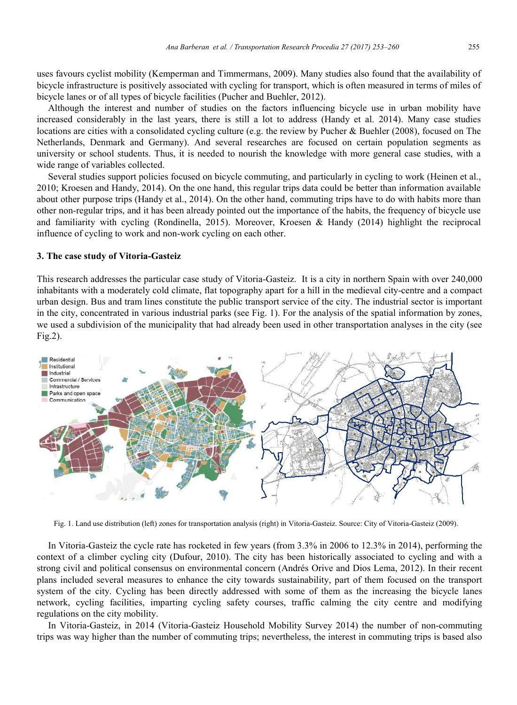uses favours cyclist mobility (Kemperman and Timmermans, 2009). Many studies also found that the availability of bicycle infrastructure is positively associated with cycling for transport, which is often measured in terms of miles of bicycle lanes or of all types of bicycle facilities (Pucher and Buehler, 2012).

Although the interest and number of studies on the factors influencing bicycle use in urban mobility have increased considerably in the last years, there is still a lot to address (Handy et al. 2014). Many case studies locations are cities with a consolidated cycling culture (e.g. the review by Pucher & Buehler (2008), focused on The Netherlands, Denmark and Germany). And several researches are focused on certain population segments as university or school students. Thus, it is needed to nourish the knowledge with more general case studies, with a wide range of variables collected.

Several studies support policies focused on bicycle commuting, and particularly in cycling to work (Heinen et al., 2010; Kroesen and Handy, 2014). On the one hand, this regular trips data could be better than information available about other purpose trips (Handy et al., 2014). On the other hand, commuting trips have to do with habits more than other non-regular trips, and it has been already pointed out the importance of the habits, the frequency of bicycle use and familiarity with cycling (Rondinella, 2015). Moreover, Kroesen & Handy (2014) highlight the reciprocal influence of cycling to work and non-work cycling on each other.

#### **3. The case study of Vitoria-Gasteiz**

This research addresses the particular case study of Vitoria-Gasteiz. It is a city in northern Spain with over 240,000 inhabitants with a moderately cold climate, flat topography apart for a hill in the medieval city-centre and a compact urban design. Bus and tram lines constitute the public transport service of the city. The industrial sector is important in the city, concentrated in various industrial parks (see Fig. 1). For the analysis of the spatial information by zones, we used a subdivision of the municipality that had already been used in other transportation analyses in the city (see Fig.2).



Fig. 1. Land use distribution (left) zones for transportation analysis (right) in Vitoria-Gasteiz. Source: City of Vitoria-Gasteiz (2009).

In Vitoria-Gasteiz the cycle rate has rocketed in few years (from 3.3% in 2006 to 12.3% in 2014), performing the context of a climber cycling city (Dufour, 2010). The city has been historically associated to cycling and with a strong civil and political consensus on environmental concern (Andrés Orive and Dios Lema, 2012). In their recent plans included several measures to enhance the city towards sustainability, part of them focused on the transport system of the city. Cycling has been directly addressed with some of them as the increasing the bicycle lanes network, cycling facilities, imparting cycling safety courses, traffic calming the city centre and modifying regulations on the city mobility.

In Vitoria-Gasteiz, in 2014 (Vitoria-Gasteiz Household Mobility Survey 2014) the number of non-commuting trips was way higher than the number of commuting trips; nevertheless, the interest in commuting trips is based also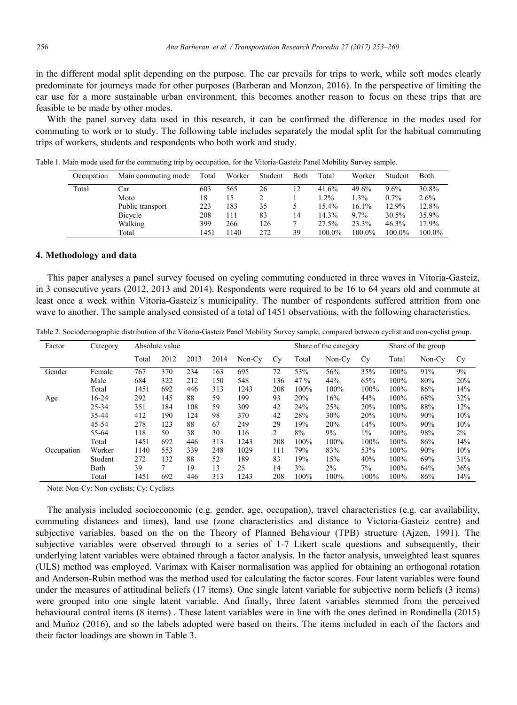in the different modal split depending on the purpose. The car prevails for trips to work, while soft modes clearly predominate for journeys made for other purposes (Barberan and Monzon, 2016). In the perspective of limiting the car use for a more sustainable urban environment, this becomes another reason to focus on these trips that are feasible to be made by other modes.

With the panel survey data used in this research, it can be confirmed the difference in the modes used for commuting to work or to study. The following table includes separately the modal split for the habitual commuting trips of workers, students and respondents who both work and study.

| Occupation | Main commuting mode | Total | Worker | Student | Both | Total    | Worker  | Student | Both    |
|------------|---------------------|-------|--------|---------|------|----------|---------|---------|---------|
| Total      | ∴ar                 | 603   | 565    | 26      | 12   | 41.6%    | 49.6%   | 9.6%    | 30.8%   |
|            | Moto                | 18    | ۱5     |         |      | $1.2\%$  | 1.3%    | $0.7\%$ | $2.6\%$ |
|            | Public transport    | 223   | 183    | 35      |      | $15.4\%$ | 16.1%   | 12.9%   | 12.8%   |
|            | Bicycle             | 208   | 11     | 83      | 14   | 14.3%    | $9.7\%$ | 30.5%   | 35.9%   |
|            | Walking             | 399   | 266    | 126     |      | 27.5%    | 23.3%   | 46.3%   | 17.9%   |
|            | Total               | 1451  | 140    | 272     | 39   | 100.0%   | 100.0%  | 100.0%  | 100.0%  |

Table 1. Main mode used for the commuting trip by occupation, for the Vitoria-Gasteiz Panel Mobility Survey sample.

#### **4. Methodology and data**

This paper analyses a panel survey focused on cycling commuting conducted in three waves in Vitoria-Gasteiz, in 3 consecutive years (2012, 2013 and 2014). Respondents were required to be 16 to 64 years old and commute at least once a week within Vitoria-Gasteiz´s municipality. The number of respondents suffered attrition from one wave to another. The sample analysed consisted of a total of 1451 observations, with the following characteristics.

Table 2. Sociodemographic distribution of the Vitoria-Gasteiz Panel Mobility Survey sample, compared between cyclist and non-cyclist group.

| Factor     | Category | Absolute value |      |      |      |        |     |        | Share of the category |       | Share of the group |        |       |  |  |  |
|------------|----------|----------------|------|------|------|--------|-----|--------|-----------------------|-------|--------------------|--------|-------|--|--|--|
|            |          | Total          | 2012 | 2013 | 2014 | Non-Cy | Cy  | Total  | $Non-Cy$              | Сy    | Total              | Non-Cy | Cy    |  |  |  |
| Gender     | Female   | 767            | 370  | 234  | 163  | 695    | 72  | 53%    | 56%                   | 35%   | 100%               | 91%    | 9%    |  |  |  |
|            | Male     | 684            | 322  | 212  | 150  | 548    | 36  | $47\%$ | 44%                   | 65%   | 100%               | 80%    | 20%   |  |  |  |
|            | Total    | 1451           | 692  | 446  | 313  | 1243   | 208 | 100%   | 100%                  | 100%  | 100%               | 86%    | 14%   |  |  |  |
| Age        | 16-24    | 292            | 145  | 88   | 59   | 199    | 93  | 20%    | 16%                   | 44%   | $100\%$            | 68%    | 32%   |  |  |  |
|            | 25-34    | 351            | 184  | 108  | 59   | 309    | 42  | 24%    | 25%                   | 20%   | 100%               | 88%    | 12%   |  |  |  |
|            | 35-44    | 412            | 190  | 124  | 98   | 370    | 42  | 28%    | 30%                   | 20%   | 100%               | 90%    | 10%   |  |  |  |
|            | 45-54    | 278            | 123  | 88   | 67   | 249    | 29  | 19%    | 20%                   | 14%   | 100%               | 90%    | 10%   |  |  |  |
|            | 55-64    | 118            | 50   | 38   | 30   | 116    | 2   | 8%     | 9%                    | $1\%$ | 100%               | 98%    | $2\%$ |  |  |  |
|            | Total    | 1451           | 692  | 446  | 313  | 1243   | 208 | 100%   | 100%                  | 100%  | 100%               | 86%    | 14%   |  |  |  |
| Occupation | Worker   | 1140           | 553  | 339  | 248  | 1029   | 111 | 79%    | 83%                   | 53%   | 100%               | 90%    | 10%   |  |  |  |
|            | Student  | 272            | 132  | 88   | 52   | 189    | 83  | 19%    | 15%                   | 40%   | $100\%$            | 69%    | 31%   |  |  |  |
|            | Both     | 39             | 7    | 19   | 13   | 25     | 14  | 3%     | 2%                    | $7\%$ | 100%               | 64%    | 36%   |  |  |  |
|            | Total    | 1451           | 692  | 446  | 313  | 1243   | 208 | 100%   | 100%                  | 100%  | 100%               | 86%    | 14%   |  |  |  |

Note: Non-Cy: Non-cyclists; Cy: Cyclists

The analysis included socioeconomic (e.g. gender, age, occupation), travel characteristics (e.g. car availability, commuting distances and times), land use (zone characteristics and distance to Victoria-Gasteiz centre) and subjective variables, based on the on the Theory of Planned Behaviour (TPB) structure (Ajzen, 1991). The subjective variables were observed through to a series of 1-7 Likert scale questions and subsequently, their underlying latent variables were obtained through a factor analysis. In the factor analysis, unweighted least squares (ULS) method was employed. Varimax with Kaiser normalisation was applied for obtaining an orthogonal rotation and Anderson-Rubin method was the method used for calculating the factor scores. Four latent variables were found under the measures of attitudinal beliefs (17 items). One single latent variable for subjective norm beliefs (3 items) were grouped into one single latent variable. And finally, three latent variables stemmed from the perceived behavioural control items (8 items) . These latent variables were in line with the ones defined in Rondinella (2015) and Muñoz (2016), and so the labels adopted were based on theirs. The items included in each of the factors and their factor loadings are shown in Table 3.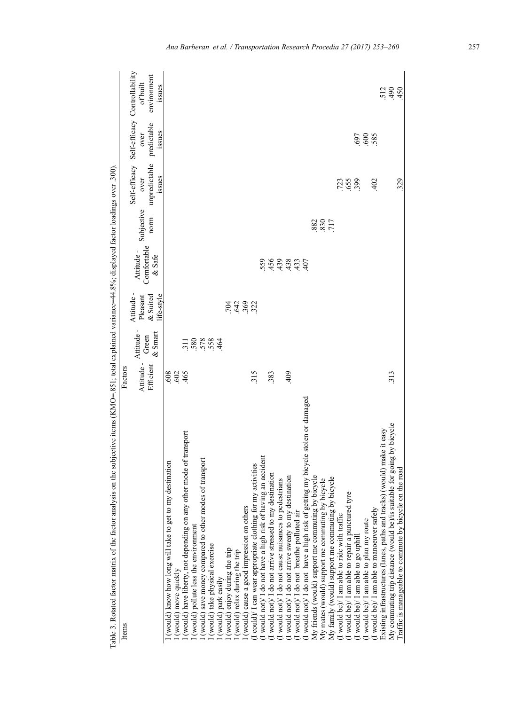|                                                                                                                                                                | Self-efficacy Self-efficacy Controllability<br>of built<br>over | environment<br>issues<br>predictable<br>issues |                                                                                     |                                                                    |                                      |                                                                                           |                     |                               |                               |                                           |                                                              |                                                                |                                                           |                                                        |                                                         |                                              |                                                                                                         |                                                    |                                                  |                                                   |                                              |                                                                 | 697                                                   | 58S                                               |                                             | 512                                                                     | 490                                                                    | 450                                                     |
|----------------------------------------------------------------------------------------------------------------------------------------------------------------|-----------------------------------------------------------------|------------------------------------------------|-------------------------------------------------------------------------------------|--------------------------------------------------------------------|--------------------------------------|-------------------------------------------------------------------------------------------|---------------------|-------------------------------|-------------------------------|-------------------------------------------|--------------------------------------------------------------|----------------------------------------------------------------|-----------------------------------------------------------|--------------------------------------------------------|---------------------------------------------------------|----------------------------------------------|---------------------------------------------------------------------------------------------------------|----------------------------------------------------|--------------------------------------------------|---------------------------------------------------|----------------------------------------------|-----------------------------------------------------------------|-------------------------------------------------------|---------------------------------------------------|---------------------------------------------|-------------------------------------------------------------------------|------------------------------------------------------------------------|---------------------------------------------------------|
|                                                                                                                                                                | over                                                            | unpredictable<br>issues                        |                                                                                     |                                                                    |                                      |                                                                                           |                     |                               |                               |                                           |                                                              |                                                                |                                                           |                                                        |                                                         |                                              |                                                                                                         |                                                    |                                                  |                                                   | .723                                         | .655                                                            | 399                                                   |                                                   | 402                                         |                                                                         |                                                                        | 329                                                     |
|                                                                                                                                                                |                                                                 | norm                                           |                                                                                     |                                                                    |                                      |                                                                                           |                     |                               |                               |                                           |                                                              |                                                                |                                                           |                                                        |                                                         |                                              |                                                                                                         | 882<br>830<br>717                                  |                                                  |                                                   |                                              |                                                                 |                                                       |                                                   |                                             |                                                                         |                                                                        |                                                         |
|                                                                                                                                                                | Comfortable Subjective<br>Attitude -                            | $\&$ Safe                                      |                                                                                     |                                                                    |                                      |                                                                                           |                     |                               |                               |                                           |                                                              | 559                                                            | 456                                                       | 439                                                    | 438                                                     |                                              | 407                                                                                                     |                                                    |                                                  |                                                   |                                              |                                                                 |                                                       |                                                   |                                             |                                                                         |                                                                        |                                                         |
|                                                                                                                                                                | Attitude -<br>Pleasant                                          | & Suited<br>life-style                         |                                                                                     |                                                                    |                                      |                                                                                           |                     | .704                          |                               | 3.32                                      |                                                              |                                                                |                                                           |                                                        |                                                         |                                              |                                                                                                         |                                                    |                                                  |                                                   |                                              |                                                                 |                                                       |                                                   |                                             |                                                                         |                                                                        |                                                         |
|                                                                                                                                                                | Attitude -<br>Green                                             | $&$ Smart                                      |                                                                                     | 311                                                                |                                      | 58884                                                                                     |                     |                               |                               |                                           |                                                              |                                                                |                                                           |                                                        |                                                         |                                              |                                                                                                         |                                                    |                                                  |                                                   |                                              |                                                                 |                                                       |                                                   |                                             |                                                                         |                                                                        |                                                         |
|                                                                                                                                                                | Attitude-<br>Factors                                            | Efficient                                      | 608                                                                                 | .602                                                               |                                      |                                                                                           |                     |                               |                               |                                           | 315                                                          |                                                                | 383                                                       |                                                        | 409                                                     |                                              |                                                                                                         |                                                    |                                                  |                                                   |                                              |                                                                 |                                                       |                                                   |                                             |                                                                         | 313                                                                    |                                                         |
| Table 3. Rotated factor matrix of the factor analysis on the subjective items (KMO=.851; total explained variance=44.8%; displayed factor loadings over .300). | Items                                                           |                                                | destination<br>(would) know how long will take to get to my<br>(would) move quickly | (would) have liberty, not depending on any other mode of transport | (would) pollute less the environment | (would) save money compared to other modes of transport<br>(would) take physical exercise | (would) park easily | (would) enjoy during the trip | (would) relax during the trip | (would) cause a good impression on others | (I could)/ I can wear appropriate clothing for my activities | (I would not)/ I do not have a high risk of having an accident | (I would not)/ I do not arrive stressed to my destination | (I would not)/ I do not cause nuisances to pedestrians | (I would not)/ I do not arrive sweaty to my destination | (I would not)/ I do not breathe polluted air | ng my bicycle stolen or damaged<br>$(1 \text{ would not})/1 \text{ do not have a high risk of getting}$ | My friends (would) support me commuting by bicycle | My mates (would) support me commuting by bicycle | My family (would) support me commuting by bicycle | (I would be)/ I am able to ride with traffic | Ò<br>$(1 \text{ would be})/1$ am able to repair a punctured tyr | $(1 \text{ would be})/1 \text{ am able to go uphill}$ | $(1 \text{ would be})/1$ am able to plan my route | (I would be)/ I am able to manoeuver safely | Existing infrastructures (lanes, paths and tracks) (would) make it easy | My commuting trip distance (would be)/is suitable for going by bicycle | Traffic is manageable to commute by bicycle on the road |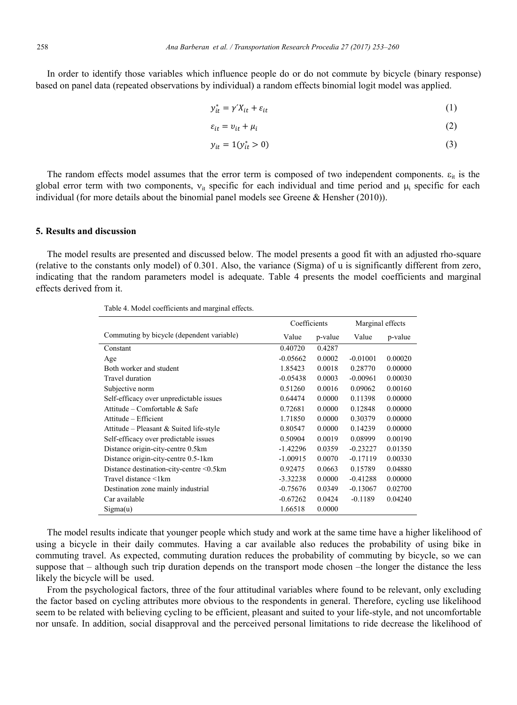In order to identify those variables which influence people do or do not commute by bicycle (binary response) based on panel data (repeated observations by individual) a random effects binomial logit model was applied.

$$
y_{it}^* = \gamma' X_{it} + \varepsilon_{it} \tag{1}
$$

$$
\varepsilon_{it} = v_{it} + \mu_i \tag{2}
$$

$$
y_{it} = 1(y_{it}^* > 0)
$$
 (3)

The random effects model assumes that the error term is composed of two independent components.  $\varepsilon_{it}$  is the global error term with two components,  $v_{it}$  specific for each individual and time period and  $\mu_i$  specific for each individual (for more details about the binomial panel models see Greene & Hensher (2010)).

### **5. Results and discussion**

The model results are presented and discussed below. The model presents a good fit with an adjusted rho-square (relative to the constants only model) of 0.301. Also, the variance (Sigma) of u is significantly different from zero, indicating that the random parameters model is adequate. Table 4 presents the model coefficients and marginal effects derived from it.

|                                           | Coefficients |         | Marginal effects |         |  |  |  |
|-------------------------------------------|--------------|---------|------------------|---------|--|--|--|
| Commuting by bicycle (dependent variable) | Value        | p-value | Value            | p-value |  |  |  |
| Constant                                  | 0.40720      | 0.4287  |                  |         |  |  |  |
| Age                                       | $-0.05662$   | 0.0002  | $-0.01001$       | 0.00020 |  |  |  |
| Both worker and student                   | 1.85423      | 0.0018  | 0.28770          | 0.00000 |  |  |  |
| Travel duration                           | $-0.05438$   | 0.0003  | $-0.00961$       | 0.00030 |  |  |  |
| Subjective norm                           | 0.51260      | 0.0016  | 0.09062          | 0.00160 |  |  |  |
| Self-efficacy over unpredictable issues   | 0.64474      | 0.0000  | 0.11398          | 0.00000 |  |  |  |
| Attitude – Comfortable & Safe             | 0.72681      | 0.0000  | 0.12848          | 0.00000 |  |  |  |
| Attitude – Efficient                      | 1.71850      | 0.0000  | 0.30379          | 0.00000 |  |  |  |
| Attitude – Pleasant & Suited life-style   | 0.80547      | 0.0000  | 0.14239          | 0.00000 |  |  |  |
| Self-efficacy over predictable issues     | 0.50904      | 0.0019  | 0.08999          | 0.00190 |  |  |  |
| Distance origin-city-centre 0.5km         | $-1.42296$   | 0.0359  | $-0.23227$       | 0.01350 |  |  |  |
| Distance origin-city-centre 0.5-1km       | $-1.00915$   | 0.0070  | $-0.17119$       | 0.00330 |  |  |  |
| Distance destination-city-centre <0.5km   | 0.92475      | 0.0663  | 0.15789          | 0.04880 |  |  |  |
| Travel distance <1km                      | $-3.32238$   | 0.0000  | $-0.41288$       | 0.00000 |  |  |  |
| Destination zone mainly industrial        | $-0.75676$   | 0.0349  | $-0.13067$       | 0.02700 |  |  |  |
| Car available                             | $-0.67262$   | 0.0424  | $-0.1189$        | 0.04240 |  |  |  |
| Sigma(u)                                  | 1.66518      | 0.0000  |                  |         |  |  |  |

Table 4. Model coefficients and marginal effects.

The model results indicate that younger people which study and work at the same time have a higher likelihood of using a bicycle in their daily commutes. Having a car available also reduces the probability of using bike in commuting travel. As expected, commuting duration reduces the probability of commuting by bicycle, so we can suppose that – although such trip duration depends on the transport mode chosen –the longer the distance the less likely the bicycle will be used.

From the psychological factors, three of the four attitudinal variables where found to be relevant, only excluding the factor based on cycling attributes more obvious to the respondents in general. Therefore, cycling use likelihood seem to be related with believing cycling to be efficient, pleasant and suited to your life-style, and not uncomfortable nor unsafe. In addition, social disapproval and the perceived personal limitations to ride decrease the likelihood of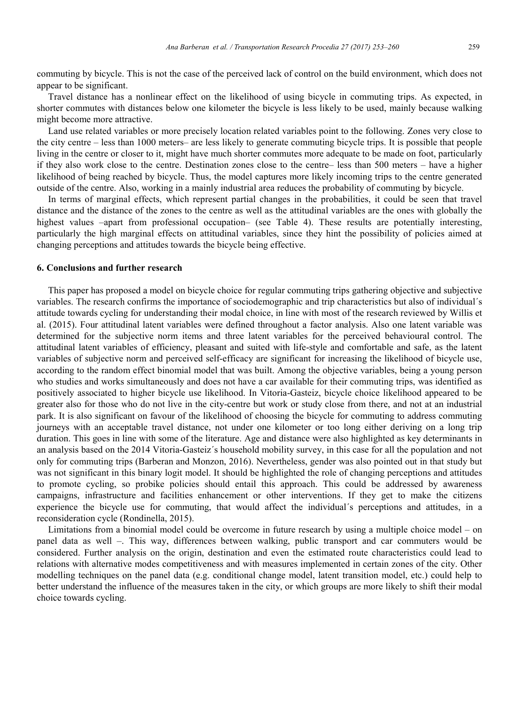commuting by bicycle. This is not the case of the perceived lack of control on the build environment, which does not appear to be significant.

Travel distance has a nonlinear effect on the likelihood of using bicycle in commuting trips. As expected, in shorter commutes with distances below one kilometer the bicycle is less likely to be used, mainly because walking might become more attractive.

Land use related variables or more precisely location related variables point to the following. Zones very close to the city centre – less than 1000 meters– are less likely to generate commuting bicycle trips. It is possible that people living in the centre or closer to it, might have much shorter commutes more adequate to be made on foot, particularly if they also work close to the centre. Destination zones close to the centre– less than 500 meters – have a higher likelihood of being reached by bicycle. Thus, the model captures more likely incoming trips to the centre generated outside of the centre. Also, working in a mainly industrial area reduces the probability of commuting by bicycle.

In terms of marginal effects, which represent partial changes in the probabilities, it could be seen that travel distance and the distance of the zones to the centre as well as the attitudinal variables are the ones with globally the highest values –apart from professional occupation– (see Table 4). These results are potentially interesting, particularly the high marginal effects on attitudinal variables, since they hint the possibility of policies aimed at changing perceptions and attitudes towards the bicycle being effective.

#### **6. Conclusions and further research**

This paper has proposed a model on bicycle choice for regular commuting trips gathering objective and subjective variables. The research confirms the importance of sociodemographic and trip characteristics but also of individual´s attitude towards cycling for understanding their modal choice, in line with most of the research reviewed by Willis et al. (2015). Four attitudinal latent variables were defined throughout a factor analysis. Also one latent variable was determined for the subjective norm items and three latent variables for the perceived behavioural control. The attitudinal latent variables of efficiency, pleasant and suited with life-style and comfortable and safe, as the latent variables of subjective norm and perceived self-efficacy are significant for increasing the likelihood of bicycle use, according to the random effect binomial model that was built. Among the objective variables, being a young person who studies and works simultaneously and does not have a car available for their commuting trips, was identified as positively associated to higher bicycle use likelihood. In Vitoria-Gasteiz, bicycle choice likelihood appeared to be greater also for those who do not live in the city-centre but work or study close from there, and not at an industrial park. It is also significant on favour of the likelihood of choosing the bicycle for commuting to address commuting journeys with an acceptable travel distance, not under one kilometer or too long either deriving on a long trip duration. This goes in line with some of the literature. Age and distance were also highlighted as key determinants in an analysis based on the 2014 Vitoria-Gasteiz´s household mobility survey, in this case for all the population and not only for commuting trips (Barberan and Monzon, 2016). Nevertheless, gender was also pointed out in that study but was not significant in this binary logit model. It should be highlighted the role of changing perceptions and attitudes to promote cycling, so probike policies should entail this approach. This could be addressed by awareness campaigns, infrastructure and facilities enhancement or other interventions. If they get to make the citizens experience the bicycle use for commuting, that would affect the individual´s perceptions and attitudes, in a reconsideration cycle (Rondinella, 2015).

Limitations from a binomial model could be overcome in future research by using a multiple choice model – on panel data as well –. This way, differences between walking, public transport and car commuters would be considered. Further analysis on the origin, destination and even the estimated route characteristics could lead to relations with alternative modes competitiveness and with measures implemented in certain zones of the city. Other modelling techniques on the panel data (e.g. conditional change model, latent transition model, etc.) could help to better understand the influence of the measures taken in the city, or which groups are more likely to shift their modal choice towards cycling.